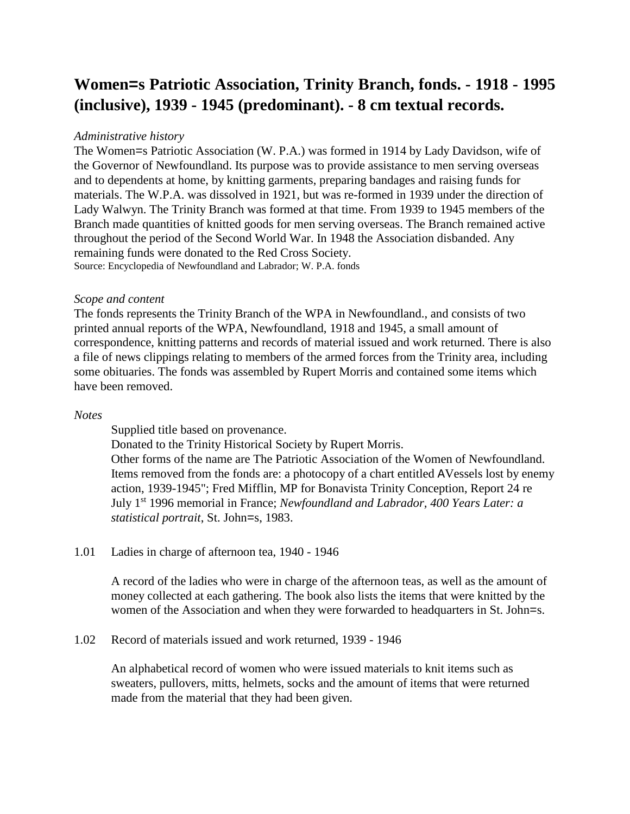# **Women=s Patriotic Association, Trinity Branch, fonds. - 1918 - 1995 (inclusive), 1939 - 1945 (predominant). - 8 cm textual records.**

## *Administrative history*

The Women=s Patriotic Association (W. P.A.) was formed in 1914 by Lady Davidson, wife of the Governor of Newfoundland. Its purpose was to provide assistance to men serving overseas and to dependents at home, by knitting garments, preparing bandages and raising funds for materials. The W.P.A. was dissolved in 1921, but was re-formed in 1939 under the direction of Lady Walwyn. The Trinity Branch was formed at that time. From 1939 to 1945 members of the Branch made quantities of knitted goods for men serving overseas. The Branch remained active throughout the period of the Second World War. In 1948 the Association disbanded. Any remaining funds were donated to the Red Cross Society. Source: Encyclopedia of Newfoundland and Labrador; W. P.A. fonds

#### *Scope and content*

The fonds represents the Trinity Branch of the WPA in Newfoundland., and consists of two printed annual reports of the WPA, Newfoundland, 1918 and 1945, a small amount of correspondence, knitting patterns and records of material issued and work returned. There is also a file of news clippings relating to members of the armed forces from the Trinity area, including some obituaries. The fonds was assembled by Rupert Morris and contained some items which have been removed.

## *Notes*

Supplied title based on provenance.

Donated to the Trinity Historical Society by Rupert Morris.

Other forms of the name are The Patriotic Association of the Women of Newfoundland. Items removed from the fonds are: a photocopy of a chart entitled AVessels lost by enemy action, 1939-1945"; Fred Mifflin, MP for Bonavista Trinity Conception, Report 24 re July 1st 1996 memorial in France; *Newfoundland and Labrador, 400 Years Later: a statistical portrait*, St. John=s, 1983.

## 1.01 Ladies in charge of afternoon tea, 1940 - 1946

A record of the ladies who were in charge of the afternoon teas, as well as the amount of money collected at each gathering. The book also lists the items that were knitted by the women of the Association and when they were forwarded to headquarters in St. John=s.

#### 1.02 Record of materials issued and work returned, 1939 - 1946

An alphabetical record of women who were issued materials to knit items such as sweaters, pullovers, mitts, helmets, socks and the amount of items that were returned made from the material that they had been given.